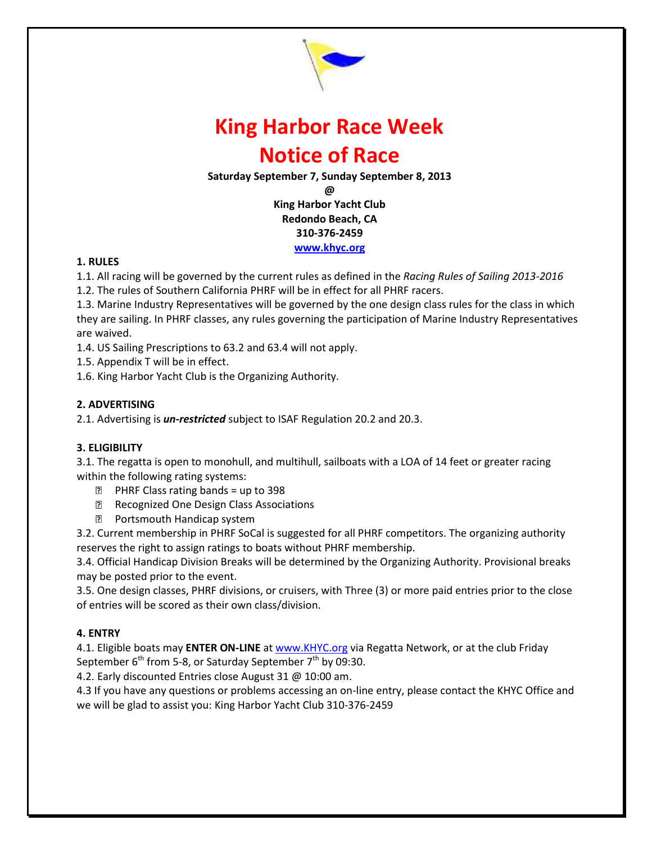

# **King Harbor Race Week Notice of Race**

**Saturday September 7, Sunday September 8, 2013**

**@**

**King Harbor Yacht Club Redondo Beach, CA 310-376-2459 [www.khyc.org](http://www.khyc.org/)**

### **1. RULES**

1.1. All racing will be governed by the current rules as defined in the *Racing Rules of Sailing 2013-2016*

1.2. The rules of Southern California PHRF will be in effect for all PHRF racers.

1.3. Marine Industry Representatives will be governed by the one design class rules for the class in which they are sailing. In PHRF classes, any rules governing the participation of Marine Industry Representatives are waived.

1.4. US Sailing Prescriptions to 63.2 and 63.4 will not apply.

1.5. Appendix T will be in effect.

1.6. King Harbor Yacht Club is the Organizing Authority.

### **2. ADVERTISING**

2.1. Advertising is *un-restricted* subject to ISAF Regulation 20.2 and 20.3.

# **3. ELIGIBILITY**

3.1. The regatta is open to monohull, and multihull, sailboats with a LOA of 14 feet or greater racing within the following rating systems:

- $\Box$  PHRF Class rating bands = up to 398
- Recognized One Design Class Associations
- **Portsmouth Handicap system**

3.2. Current membership in PHRF SoCal is suggested for all PHRF competitors. The organizing authority reserves the right to assign ratings to boats without PHRF membership.

3.4. Official Handicap Division Breaks will be determined by the Organizing Authority. Provisional breaks may be posted prior to the event.

3.5. One design classes, PHRF divisions, or cruisers, with Three (3) or more paid entries prior to the close of entries will be scored as their own class/division.

# **4. ENTRY**

4.1. Eligible boats may **ENTER ON-LINE** a[t www.KHYC.org](http://www.khyc.org/) via Regatta Network, or at the club Friday September  $6<sup>th</sup>$  from 5-8, or Saturday September  $7<sup>th</sup>$  by 09:30.

4.2. Early discounted Entries close August 31 @ 10:00 am.

4.3 If you have any questions or problems accessing an on-line entry, please contact the KHYC Office and we will be glad to assist you: King Harbor Yacht Club 310-376-2459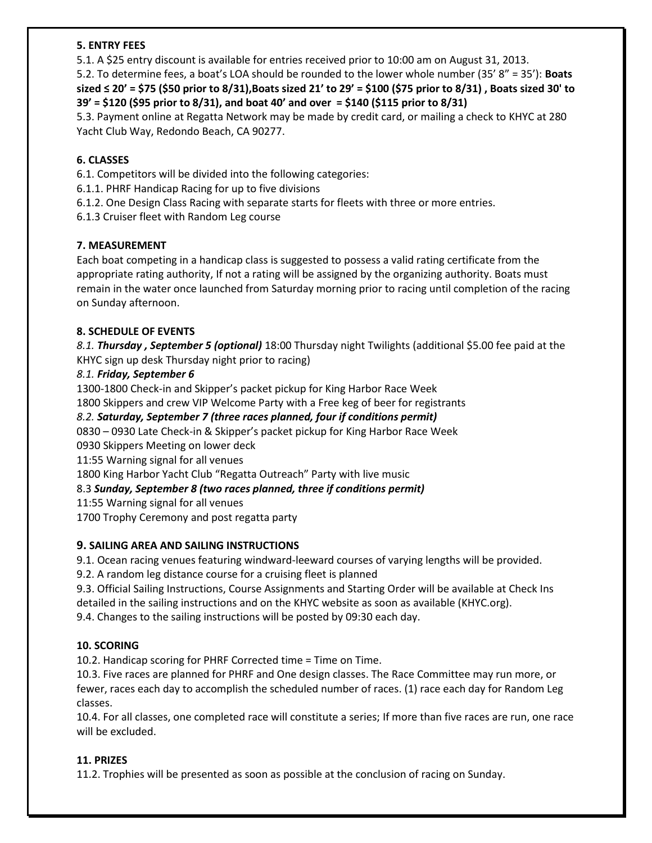### **5. ENTRY FEES**

5.1. A \$25 entry discount is available for entries received prior to 10:00 am on August 31, 2013.

5.2. To determine fees, a boat's LOA should be rounded to the lower whole number (35' 8" = 35'): **Boats sized ≤ 20' = \$75 (\$50 prior to 8/31),Boats sized 21' to 29' = \$100 (\$75 prior to 8/31) , Boats sized 30' to 39' = \$120 (\$95 prior to 8/31), and boat 40' and over = \$140 (\$115 prior to 8/31)** 

5.3. Payment online at Regatta Network may be made by credit card, or mailing a check to KHYC at 280 Yacht Club Way, Redondo Beach, CA 90277.

# **6. CLASSES**

6.1. Competitors will be divided into the following categories:

- 6.1.1. PHRF Handicap Racing for up to five divisions
- 6.1.2. One Design Class Racing with separate starts for fleets with three or more entries.
- 6.1.3 Cruiser fleet with Random Leg course

### **7. MEASUREMENT**

Each boat competing in a handicap class is suggested to possess a valid rating certificate from the appropriate rating authority, If not a rating will be assigned by the organizing authority. Boats must remain in the water once launched from Saturday morning prior to racing until completion of the racing on Sunday afternoon.

### **8. SCHEDULE OF EVENTS**

*8.1. Thursday , September 5 (optional)* 18:00 Thursday night Twilights (additional \$5.00 fee paid at the KHYC sign up desk Thursday night prior to racing)

### *8.1. Friday, September 6*

1300-1800 Check-in and Skipper's packet pickup for King Harbor Race Week

# 1800 Skippers and crew VIP Welcome Party with a Free keg of beer for registrants

# *8.2. Saturday, September 7 (three races planned, four if conditions permit)*

0830 – 0930 Late Check-in & Skipper's packet pickup for King Harbor Race Week

0930 Skippers Meeting on lower deck

11:55 Warning signal for all venues

1800 King Harbor Yacht Club "Regatta Outreach" Party with live music

# 8.3 *Sunday, September 8 (two races planned, three if conditions permit)*

11:55 Warning signal for all venues

1700 Trophy Ceremony and post regatta party

# **9. SAILING AREA AND SAILING INSTRUCTIONS**

9.1. Ocean racing venues featuring windward-leeward courses of varying lengths will be provided.

9.2. A random leg distance course for a cruising fleet is planned

9.3. Official Sailing Instructions, Course Assignments and Starting Order will be available at Check Ins detailed in the sailing instructions and on the KHYC website as soon as available (KHYC.org). 9.4. Changes to the sailing instructions will be posted by 09:30 each day.

# **10. SCORING**

10.2. Handicap scoring for PHRF Corrected time = Time on Time.

10.3. Five races are planned for PHRF and One design classes. The Race Committee may run more, or fewer, races each day to accomplish the scheduled number of races. (1) race each day for Random Leg classes.

10.4. For all classes, one completed race will constitute a series; If more than five races are run, one race will be excluded.

# **11. PRIZES**

11.2. Trophies will be presented as soon as possible at the conclusion of racing on Sunday.